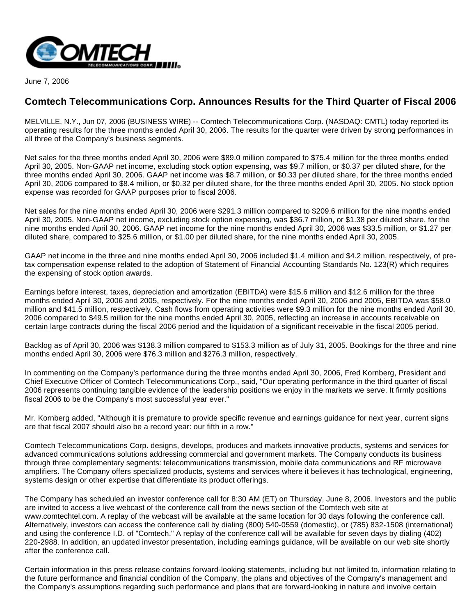

June 7, 2006

## **Comtech Telecommunications Corp. Announces Results for the Third Quarter of Fiscal 2006**

MELVILLE, N.Y., Jun 07, 2006 (BUSINESS WIRE) -- Comtech Telecommunications Corp. (NASDAQ: CMTL) today reported its operating results for the three months ended April 30, 2006. The results for the quarter were driven by strong performances in all three of the Company's business segments.

Net sales for the three months ended April 30, 2006 were \$89.0 million compared to \$75.4 million for the three months ended April 30, 2005. Non-GAAP net income, excluding stock option expensing, was \$9.7 million, or \$0.37 per diluted share, for the three months ended April 30, 2006. GAAP net income was \$8.7 million, or \$0.33 per diluted share, for the three months ended April 30, 2006 compared to \$8.4 million, or \$0.32 per diluted share, for the three months ended April 30, 2005. No stock option expense was recorded for GAAP purposes prior to fiscal 2006.

Net sales for the nine months ended April 30, 2006 were \$291.3 million compared to \$209.6 million for the nine months ended April 30, 2005. Non-GAAP net income, excluding stock option expensing, was \$36.7 million, or \$1.38 per diluted share, for the nine months ended April 30, 2006. GAAP net income for the nine months ended April 30, 2006 was \$33.5 million, or \$1.27 per diluted share, compared to \$25.6 million, or \$1.00 per diluted share, for the nine months ended April 30, 2005.

GAAP net income in the three and nine months ended April 30, 2006 included \$1.4 million and \$4.2 million, respectively, of pretax compensation expense related to the adoption of Statement of Financial Accounting Standards No. 123(R) which requires the expensing of stock option awards.

Earnings before interest, taxes, depreciation and amortization (EBITDA) were \$15.6 million and \$12.6 million for the three months ended April 30, 2006 and 2005, respectively. For the nine months ended April 30, 2006 and 2005, EBITDA was \$58.0 million and \$41.5 million, respectively. Cash flows from operating activities were \$9.3 million for the nine months ended April 30, 2006 compared to \$49.5 million for the nine months ended April 30, 2005, reflecting an increase in accounts receivable on certain large contracts during the fiscal 2006 period and the liquidation of a significant receivable in the fiscal 2005 period.

Backlog as of April 30, 2006 was \$138.3 million compared to \$153.3 million as of July 31, 2005. Bookings for the three and nine months ended April 30, 2006 were \$76.3 million and \$276.3 million, respectively.

In commenting on the Company's performance during the three months ended April 30, 2006, Fred Kornberg, President and Chief Executive Officer of Comtech Telecommunications Corp., said, "Our operating performance in the third quarter of fiscal 2006 represents continuing tangible evidence of the leadership positions we enjoy in the markets we serve. It firmly positions fiscal 2006 to be the Company's most successful year ever."

Mr. Kornberg added, "Although it is premature to provide specific revenue and earnings guidance for next year, current signs are that fiscal 2007 should also be a record year: our fifth in a row."

Comtech Telecommunications Corp. designs, develops, produces and markets innovative products, systems and services for advanced communications solutions addressing commercial and government markets. The Company conducts its business through three complementary segments: telecommunications transmission, mobile data communications and RF microwave amplifiers. The Company offers specialized products, systems and services where it believes it has technological, engineering, systems design or other expertise that differentiate its product offerings.

The Company has scheduled an investor conference call for 8:30 AM (ET) on Thursday, June 8, 2006. Investors and the public are invited to access a live webcast of the conference call from the news section of the Comtech web site at www.comtechtel.com. A replay of the webcast will be available at the same location for 30 days following the conference call. Alternatively, investors can access the conference call by dialing (800) 540-0559 (domestic), or (785) 832-1508 (international) and using the conference I.D. of "Comtech." A replay of the conference call will be available for seven days by dialing (402) 220-2988. In addition, an updated investor presentation, including earnings guidance, will be available on our web site shortly after the conference call.

Certain information in this press release contains forward-looking statements, including but not limited to, information relating to the future performance and financial condition of the Company, the plans and objectives of the Company's management and the Company's assumptions regarding such performance and plans that are forward-looking in nature and involve certain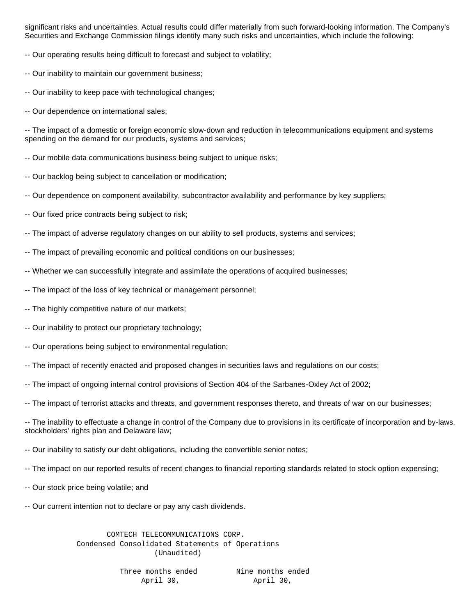significant risks and uncertainties. Actual results could differ materially from such forward-looking information. The Company's Securities and Exchange Commission filings identify many such risks and uncertainties, which include the following:

-- Our operating results being difficult to forecast and subject to volatility;

- -- Our inability to maintain our government business;
- -- Our inability to keep pace with technological changes;
- -- Our dependence on international sales;

-- The impact of a domestic or foreign economic slow-down and reduction in telecommunications equipment and systems spending on the demand for our products, systems and services;

-- Our mobile data communications business being subject to unique risks;

- -- Our backlog being subject to cancellation or modification;
- -- Our dependence on component availability, subcontractor availability and performance by key suppliers;
- -- Our fixed price contracts being subject to risk;
- -- The impact of adverse regulatory changes on our ability to sell products, systems and services;
- -- The impact of prevailing economic and political conditions on our businesses;
- -- Whether we can successfully integrate and assimilate the operations of acquired businesses;
- -- The impact of the loss of key technical or management personnel;
- -- The highly competitive nature of our markets;
- -- Our inability to protect our proprietary technology;
- -- Our operations being subject to environmental regulation;
- -- The impact of recently enacted and proposed changes in securities laws and regulations on our costs;
- -- The impact of ongoing internal control provisions of Section 404 of the Sarbanes-Oxley Act of 2002;
- -- The impact of terrorist attacks and threats, and government responses thereto, and threats of war on our businesses;

-- The inability to effectuate a change in control of the Company due to provisions in its certificate of incorporation and by-laws, stockholders' rights plan and Delaware law;

- -- Our inability to satisfy our debt obligations, including the convertible senior notes;
- -- The impact on our reported results of recent changes to financial reporting standards related to stock option expensing;
- -- Our stock price being volatile; and
- -- Our current intention not to declare or pay any cash dividends.

 COMTECH TELECOMMUNICATIONS CORP. Condensed Consolidated Statements of Operations (Unaudited)

> Three months ended Nine months ended April 30, April 30,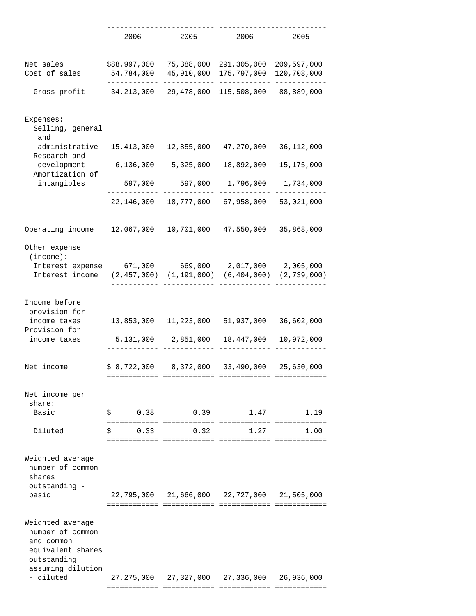|                                                                                                             | 2006                       | 2005                            | 2006                                        | 2005                       |
|-------------------------------------------------------------------------------------------------------------|----------------------------|---------------------------------|---------------------------------------------|----------------------------|
|                                                                                                             |                            |                                 |                                             |                            |
| Net sales<br>Cost of sales                                                                                  | \$88,997,000<br>54,784,000 | 75,388,000<br>45,910,000        | 291,305,000<br>175,797,000                  | 209,597,000<br>120,708,000 |
| Gross profit                                                                                                | 34,213,000                 | 29,478,000                      | 115,508,000                                 | 88,889,000                 |
| Expenses:<br>Selling, general<br>and                                                                        |                            |                                 |                                             |                            |
| administrative<br>Research and                                                                              | 15,413,000                 | 12,855,000                      | 47,270,000                                  | 36,112,000                 |
| development<br>Amortization of                                                                              | 6,136,000                  | 5,325,000                       | 18,892,000                                  | 15,175,000                 |
| intangibles                                                                                                 | 597,000                    | 597,000                         | 1,796,000                                   | 1,734,000                  |
|                                                                                                             | 22,146,000                 | 18,777,000                      | 67,958,000                                  | 53,021,000                 |
| Operating income                                                                                            | 12,067,000                 | 10,701,000                      | 47,550,000                                  | 35,868,000                 |
| Other expense<br>(income):<br>Interest expense                                                              | 671,000                    | 669,000                         | 2,017,000                                   | 2,005,000                  |
| Interest income                                                                                             |                            | $(2, 457, 000)$ $(1, 191, 000)$ | (6,404,000)                                 | (2, 739, 000)              |
| Income before<br>provision for                                                                              |                            |                                 |                                             |                            |
| income taxes<br>Provision for                                                                               | 13,853,000                 | 11,223,000                      | 51,937,000                                  | 36,602,000                 |
| income taxes                                                                                                | 5,131,000                  | 2,851,000                       | 18,447,000                                  | 10,972,000                 |
| Net income                                                                                                  | \$8,722,000                | 8,372,000<br>============       | 33,490,000                                  | 25,630,000                 |
| Net income per<br>share:                                                                                    |                            |                                 |                                             |                            |
| Basic                                                                                                       | 0.38<br>$\mathsf S$        |                                 | 0.39<br>1.47                                | 1.19                       |
| Diluted                                                                                                     | 0.33<br>\$.                | 0.32                            | 1.27                                        | 1.00                       |
| Weighted average<br>number of common<br>shares                                                              |                            |                                 |                                             |                            |
| outstanding -<br>basic                                                                                      |                            |                                 | 22,795,000 21,666,000 22,727,000 21,505,000 |                            |
| Weighted average<br>number of common<br>and common<br>equivalent shares<br>outstanding<br>assuming dilution |                            |                                 |                                             |                            |
| - diluted                                                                                                   |                            |                                 | 27,275,000 27,327,000 27,336,000            | 26,936,000                 |

============ ============ ============ ============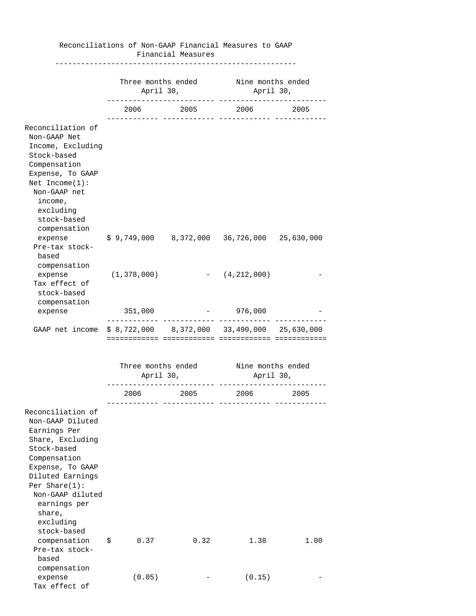|                                                                                                                                                                                                                                                 |                                                       | Financial Measures |                                                              |      |
|-------------------------------------------------------------------------------------------------------------------------------------------------------------------------------------------------------------------------------------------------|-------------------------------------------------------|--------------------|--------------------------------------------------------------|------|
|                                                                                                                                                                                                                                                 | Three months ended Mine months ended<br>April 30,     |                    | April 30,                                                    |      |
|                                                                                                                                                                                                                                                 |                                                       |                    | 2006 2005 2006 2005                                          |      |
| Reconciliation of<br>Non-GAAP Net<br>Income, Excluding<br>Stock-based<br>Compensation<br>Expense, To GAAP<br>Net $Income(1):$<br>Non-GAAP net<br>income,<br>excluding<br>stock-based<br>compensation                                            |                                                       |                    |                                                              |      |
| expense<br>Pre-tax stock-<br>based<br>compensation                                                                                                                                                                                              | $$9,749,000$ $8,372,000$ $36,726,000$ $25,630,000$    |                    |                                                              |      |
| expense<br>Tax effect of<br>stock-based<br>compensation                                                                                                                                                                                         | (1,378,000)                                           |                    | $-$ (4,212,000)                                              |      |
| expense                                                                                                                                                                                                                                         | 351,000                                               |                    | 976,000<br>$\frac{1}{2}$ and $\frac{1}{2}$ and $\frac{1}{2}$ |      |
| GAAP net income                                                                                                                                                                                                                                 | $$8,722,000$ $$8,372,000$ $$33,490,000$ $$25,630,000$ |                    | eessessesses                                                 |      |
|                                                                                                                                                                                                                                                 | Three months ended Nine months ended<br>April 30,     |                    | April 30,                                                    |      |
|                                                                                                                                                                                                                                                 | 2006                                                  | 2005               | 2006                                                         | 2005 |
| Reconciliation of<br>Non-GAAP Diluted<br>Earnings Per<br>Share, Excluding<br>Stock-based<br>Compensation<br>Expense, To GAAP<br>Diluted Earnings<br>Per Share $(1)$ :<br>Non-GAAP diluted<br>earnings per<br>share,<br>excluding<br>stock-based |                                                       |                    |                                                              |      |
| compensation<br>Pre-tax stock-<br>based                                                                                                                                                                                                         | 0.37<br>\$                                            | 0.32               | 1.38                                                         | 1.00 |
| compensation<br>expense<br>Tax effect of                                                                                                                                                                                                        | (0.05)                                                |                    | (0.15)                                                       |      |

## Reconciliations of Non-GAAP Financial Measures to GAAP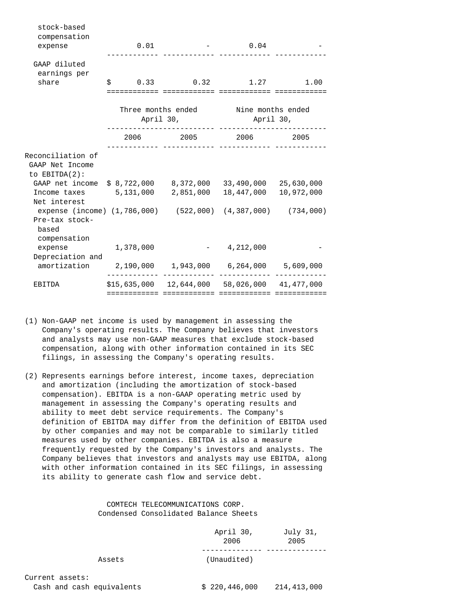| stock-based<br>compensation<br>expense                                                                  | $0\,.\,01$                                          |                            | $-0.04$                                              |  |
|---------------------------------------------------------------------------------------------------------|-----------------------------------------------------|----------------------------|------------------------------------------------------|--|
| GAAP diluted<br>earnings per                                                                            |                                                     |                            |                                                      |  |
| share                                                                                                   |                                                     |                            | $$0.33$ $0.32$ $1.27$ $1.00$                         |  |
|                                                                                                         | Three months ended soline months ended<br>April 30, |                            | April 30,                                            |  |
|                                                                                                         |                                                     |                            | 2006 2005 2006 2005                                  |  |
| Reconciliation of<br>GAAP Net Income<br>to $EBITDA(2)$ :                                                |                                                     |                            |                                                      |  |
| GAAP net income \$8,722,000 8,372,000 33,490,000 25,630,000                                             |                                                     |                            |                                                      |  |
| Income $\text{taxes}$ $5,131,000$<br>Net interest                                                       |                                                     |                            | 2,851,000  18,447,000  10,972,000                    |  |
| expense (income) (1,786,000) (522,000) (4,387,000) (734,000)<br>Pre-tax stock-<br>based<br>compensation |                                                     |                            |                                                      |  |
| expense                                                                                                 | 1,378,000                                           |                            | $-4,212,000$                                         |  |
| Depreciation and<br>amortization  2,190,000  1,943,000  6,264,000  5,609,000                            |                                                     |                            |                                                      |  |
| EBITDA                                                                                                  |                                                     | ========================== | $$15,635,000$ $12,644,000$ $58,026,000$ $41,477,000$ |  |

- (1) Non-GAAP net income is used by management in assessing the Company's operating results. The Company believes that investors and analysts may use non-GAAP measures that exclude stock-based compensation, along with other information contained in its SEC filings, in assessing the Company's operating results.
- (2) Represents earnings before interest, income taxes, depreciation and amortization (including the amortization of stock-based compensation). EBITDA is a non-GAAP operating metric used by management in assessing the Company's operating results and ability to meet debt service requirements. The Company's definition of EBITDA may differ from the definition of EBITDA used by other companies and may not be comparable to similarly titled measures used by other companies. EBITDA is also a measure frequently requested by the Company's investors and analysts. The Company believes that investors and analysts may use EBITDA, along with other information contained in its SEC filings, in assessing its ability to generate cash flow and service debt.

## COMTECH TELECOMMUNICATIONS CORP. Condensed Consolidated Balance Sheets

|        | April 30,<br>2006 | July 31,<br>2005 |
|--------|-------------------|------------------|
|        |                   |                  |
| Assets | (Unaudited)       |                  |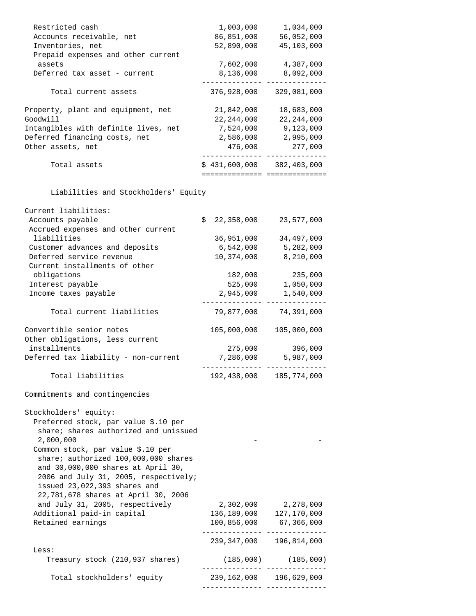| Restricted cash                                                                                                                                                                                                                                                                                                                                        | 1,003,000                    | 1,034,000                       |
|--------------------------------------------------------------------------------------------------------------------------------------------------------------------------------------------------------------------------------------------------------------------------------------------------------------------------------------------------------|------------------------------|---------------------------------|
| Accounts receivable, net                                                                                                                                                                                                                                                                                                                               | 86,851,000                   | 56,052,000                      |
| Inventories, net                                                                                                                                                                                                                                                                                                                                       | 52,890,000                   | 45,103,000                      |
| Prepaid expenses and other current                                                                                                                                                                                                                                                                                                                     |                              |                                 |
| assets                                                                                                                                                                                                                                                                                                                                                 | 7,602,000                    | 4,387,000                       |
| Deferred tax asset - current                                                                                                                                                                                                                                                                                                                           | 8,136,000                    | 8,092,000                       |
|                                                                                                                                                                                                                                                                                                                                                        |                              |                                 |
| Total current assets                                                                                                                                                                                                                                                                                                                                   | 376,928,000                  | 329,081,000                     |
| Property, plant and equipment, net                                                                                                                                                                                                                                                                                                                     | 21,842,000                   | 18,683,000                      |
| Goodwill                                                                                                                                                                                                                                                                                                                                               | 22, 244, 000                 | 22, 244, 000                    |
| Intangibles with definite lives, net                                                                                                                                                                                                                                                                                                                   | 7,524,000                    | 9,123,000                       |
| Deferred financing costs, net                                                                                                                                                                                                                                                                                                                          | 2,586,000                    | 2,995,000                       |
| Other assets, net                                                                                                                                                                                                                                                                                                                                      | 476,000                      | 277,000                         |
|                                                                                                                                                                                                                                                                                                                                                        |                              |                                 |
| Total assets                                                                                                                                                                                                                                                                                                                                           | $$431,600,000$ $382,403,000$ | =============================== |
| Liabilities and Stockholders' Equity                                                                                                                                                                                                                                                                                                                   |                              |                                 |
| Current liabilities:                                                                                                                                                                                                                                                                                                                                   |                              |                                 |
| Accounts payable                                                                                                                                                                                                                                                                                                                                       | \$<br>22,358,000             | 23,577,000                      |
| Accrued expenses and other current                                                                                                                                                                                                                                                                                                                     |                              |                                 |
| liabilities                                                                                                                                                                                                                                                                                                                                            | 36,951,000                   | 34,497,000                      |
| Customer advances and deposits                                                                                                                                                                                                                                                                                                                         | 6,542,000                    | 5,282,000                       |
| Deferred service revenue                                                                                                                                                                                                                                                                                                                               | 10,374,000                   | 8,210,000                       |
| Current installments of other                                                                                                                                                                                                                                                                                                                          |                              |                                 |
| obligations                                                                                                                                                                                                                                                                                                                                            | 182,000                      | 235,000                         |
|                                                                                                                                                                                                                                                                                                                                                        |                              |                                 |
| Interest payable                                                                                                                                                                                                                                                                                                                                       | 525,000                      | 1,050,000                       |
| Income taxes payable                                                                                                                                                                                                                                                                                                                                   | 2,945,000                    | 1,540,000                       |
| Total current liabilities                                                                                                                                                                                                                                                                                                                              | 79,877,000                   | 74,391,000                      |
| Convertible senior notes                                                                                                                                                                                                                                                                                                                               | 105,000,000                  | 105,000,000                     |
| Other obligations, less current                                                                                                                                                                                                                                                                                                                        |                              |                                 |
| installments                                                                                                                                                                                                                                                                                                                                           | 275,000                      | 396,000                         |
| Deferred tax liability - non-current                                                                                                                                                                                                                                                                                                                   | 7,286,000                    | 5,987,000                       |
|                                                                                                                                                                                                                                                                                                                                                        |                              |                                 |
| Total liabilities                                                                                                                                                                                                                                                                                                                                      | 192,438,000                  | 185,774,000                     |
| Commitments and contingencies                                                                                                                                                                                                                                                                                                                          |                              |                                 |
| Stockholders' equity:<br>Preferred stock, par value \$.10 per<br>share; shares authorized and unissued<br>2,000,000<br>Common stock, par value \$.10 per<br>share; authorized 100,000,000 shares<br>and 30,000,000 shares at April 30,<br>2006 and July 31, 2005, respectively;<br>issued 23,022,393 shares and<br>22,781,678 shares at April 30, 2006 |                              |                                 |
| and July 31, 2005, respectively                                                                                                                                                                                                                                                                                                                        | 2,302,000                    | 2,278,000                       |
| Additional paid-in capital                                                                                                                                                                                                                                                                                                                             | 136,189,000                  | 127,170,000                     |
| Retained earnings                                                                                                                                                                                                                                                                                                                                      |                              | 100,856,000 67,366,000          |
|                                                                                                                                                                                                                                                                                                                                                        |                              |                                 |
| Less:                                                                                                                                                                                                                                                                                                                                                  | 239,347,000                  | 196,814,000                     |
| Treasury stock (210,937 shares)                                                                                                                                                                                                                                                                                                                        |                              | $(185,000)$ $(185,000)$         |
|                                                                                                                                                                                                                                                                                                                                                        |                              |                                 |
| Total stockholders' equity                                                                                                                                                                                                                                                                                                                             |                              | 239,162,000 196,629,000         |